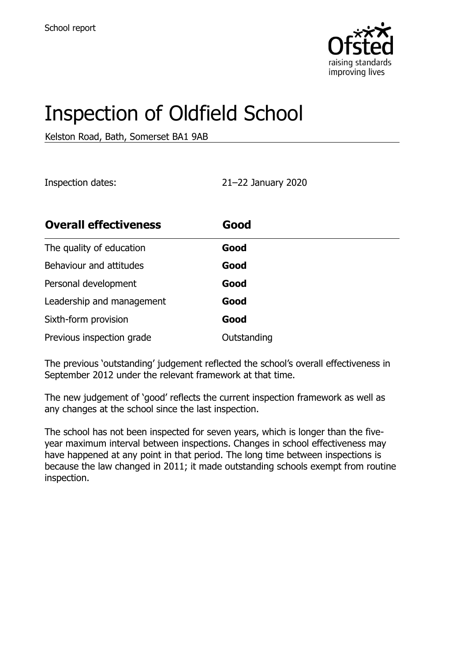

# Inspection of Oldfield School

Kelston Road, Bath, Somerset BA1 9AB

Inspection dates: 21–22 January 2020

| <b>Overall effectiveness</b> | Good        |
|------------------------------|-------------|
| The quality of education     | Good        |
| Behaviour and attitudes      | Good        |
| Personal development         | Good        |
| Leadership and management    | Good        |
| Sixth-form provision         | Good        |
| Previous inspection grade    | Outstanding |

The previous 'outstanding' judgement reflected the school's overall effectiveness in September 2012 under the relevant framework at that time.

The new judgement of 'good' reflects the current inspection framework as well as any changes at the school since the last inspection.

The school has not been inspected for seven years, which is longer than the fiveyear maximum interval between inspections. Changes in school effectiveness may have happened at any point in that period. The long time between inspections is because the law changed in 2011; it made outstanding schools exempt from routine inspection.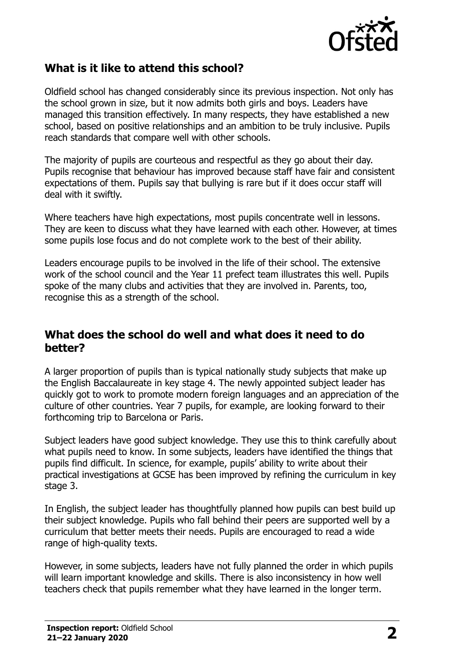

#### **What is it like to attend this school?**

Oldfield school has changed considerably since its previous inspection. Not only has the school grown in size, but it now admits both girls and boys. Leaders have managed this transition effectively. In many respects, they have established a new school, based on positive relationships and an ambition to be truly inclusive. Pupils reach standards that compare well with other schools.

The majority of pupils are courteous and respectful as they go about their day. Pupils recognise that behaviour has improved because staff have fair and consistent expectations of them. Pupils say that bullying is rare but if it does occur staff will deal with it swiftly.

Where teachers have high expectations, most pupils concentrate well in lessons. They are keen to discuss what they have learned with each other. However, at times some pupils lose focus and do not complete work to the best of their ability.

Leaders encourage pupils to be involved in the life of their school. The extensive work of the school council and the Year 11 prefect team illustrates this well. Pupils spoke of the many clubs and activities that they are involved in. Parents, too, recognise this as a strength of the school.

#### **What does the school do well and what does it need to do better?**

A larger proportion of pupils than is typical nationally study subjects that make up the English Baccalaureate in key stage 4. The newly appointed subject leader has quickly got to work to promote modern foreign languages and an appreciation of the culture of other countries. Year 7 pupils, for example, are looking forward to their forthcoming trip to Barcelona or Paris.

Subject leaders have good subject knowledge. They use this to think carefully about what pupils need to know. In some subjects, leaders have identified the things that pupils find difficult. In science, for example, pupils' ability to write about their practical investigations at GCSE has been improved by refining the curriculum in key stage 3.

In English, the subject leader has thoughtfully planned how pupils can best build up their subject knowledge. Pupils who fall behind their peers are supported well by a curriculum that better meets their needs. Pupils are encouraged to read a wide range of high-quality texts.

However, in some subjects, leaders have not fully planned the order in which pupils will learn important knowledge and skills. There is also inconsistency in how well teachers check that pupils remember what they have learned in the longer term.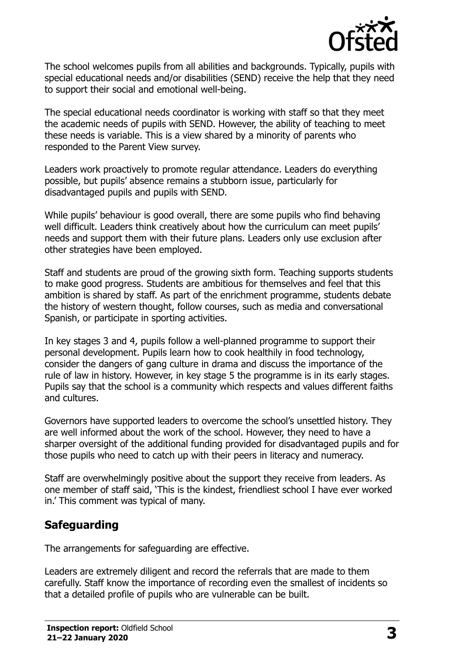

The school welcomes pupils from all abilities and backgrounds. Typically, pupils with special educational needs and/or disabilities (SEND) receive the help that they need to support their social and emotional well-being.

The special educational needs coordinator is working with staff so that they meet the academic needs of pupils with SEND. However, the ability of teaching to meet these needs is variable. This is a view shared by a minority of parents who responded to the Parent View survey.

Leaders work proactively to promote regular attendance. Leaders do everything possible, but pupils' absence remains a stubborn issue, particularly for disadvantaged pupils and pupils with SEND.

While pupils' behaviour is good overall, there are some pupils who find behaving well difficult. Leaders think creatively about how the curriculum can meet pupils' needs and support them with their future plans. Leaders only use exclusion after other strategies have been employed.

Staff and students are proud of the growing sixth form. Teaching supports students to make good progress. Students are ambitious for themselves and feel that this ambition is shared by staff. As part of the enrichment programme, students debate the history of western thought, follow courses, such as media and conversational Spanish, or participate in sporting activities.

In key stages 3 and 4, pupils follow a well-planned programme to support their personal development. Pupils learn how to cook healthily in food technology, consider the dangers of gang culture in drama and discuss the importance of the rule of law in history. However, in key stage 5 the programme is in its early stages. Pupils say that the school is a community which respects and values different faiths and cultures.

Governors have supported leaders to overcome the school's unsettled history. They are well informed about the work of the school. However, they need to have a sharper oversight of the additional funding provided for disadvantaged pupils and for those pupils who need to catch up with their peers in literacy and numeracy.

Staff are overwhelmingly positive about the support they receive from leaders. As one member of staff said, 'This is the kindest, friendliest school I have ever worked in.' This comment was typical of many.

#### **Safeguarding**

The arrangements for safeguarding are effective.

Leaders are extremely diligent and record the referrals that are made to them carefully. Staff know the importance of recording even the smallest of incidents so that a detailed profile of pupils who are vulnerable can be built.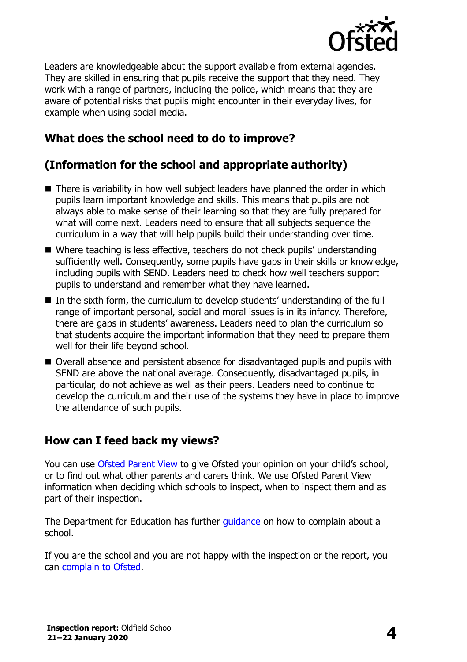

Leaders are knowledgeable about the support available from external agencies. They are skilled in ensuring that pupils receive the support that they need. They work with a range of partners, including the police, which means that they are aware of potential risks that pupils might encounter in their everyday lives, for example when using social media.

## **What does the school need to do to improve?**

# **(Information for the school and appropriate authority)**

- There is variability in how well subject leaders have planned the order in which pupils learn important knowledge and skills. This means that pupils are not always able to make sense of their learning so that they are fully prepared for what will come next. Leaders need to ensure that all subjects sequence the curriculum in a way that will help pupils build their understanding over time.
- Where teaching is less effective, teachers do not check pupils' understanding sufficiently well. Consequently, some pupils have gaps in their skills or knowledge, including pupils with SEND. Leaders need to check how well teachers support pupils to understand and remember what they have learned.
- In the sixth form, the curriculum to develop students' understanding of the full range of important personal, social and moral issues is in its infancy. Therefore, there are gaps in students' awareness. Leaders need to plan the curriculum so that students acquire the important information that they need to prepare them well for their life beyond school.
- Overall absence and persistent absence for disadvantaged pupils and pupils with SEND are above the national average. Consequently, disadvantaged pupils, in particular, do not achieve as well as their peers. Leaders need to continue to develop the curriculum and their use of the systems they have in place to improve the attendance of such pupils.

#### **How can I feed back my views?**

You can use [Ofsted Parent View](http://parentview.ofsted.gov.uk/) to give Ofsted your opinion on your child's school, or to find out what other parents and carers think. We use Ofsted Parent View information when deciding which schools to inspect, when to inspect them and as part of their inspection.

The Department for Education has further quidance on how to complain about a school.

If you are the school and you are not happy with the inspection or the report, you can [complain to Ofsted.](http://www.gov.uk/complain-ofsted-report)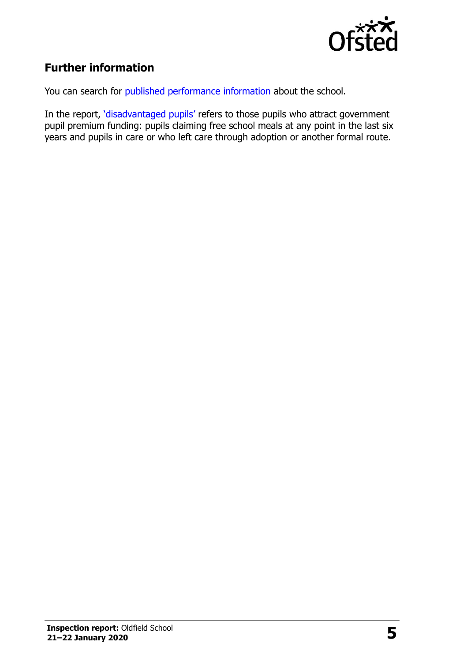

### **Further information**

You can search for [published performance information](http://www.compare-school-performance.service.gov.uk/) about the school.

In the report, '[disadvantaged pupils](http://www.gov.uk/guidance/pupil-premium-information-for-schools-and-alternative-provision-settings)' refers to those pupils who attract government pupil premium funding: pupils claiming free school meals at any point in the last six years and pupils in care or who left care through adoption or another formal route.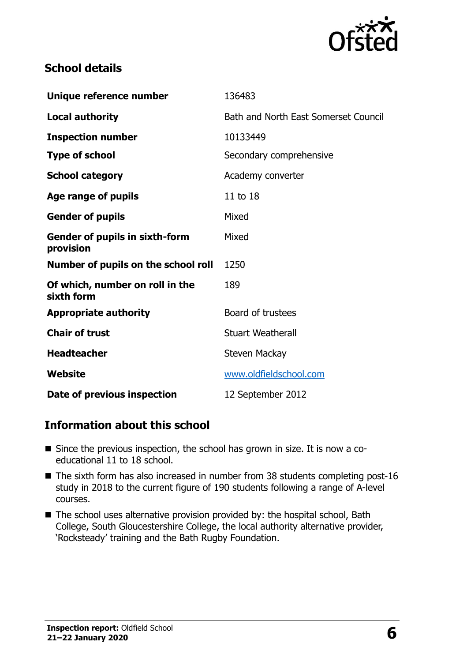

#### **School details**

| Unique reference number                            | 136483                               |
|----------------------------------------------------|--------------------------------------|
| <b>Local authority</b>                             | Bath and North East Somerset Council |
| <b>Inspection number</b>                           | 10133449                             |
| <b>Type of school</b>                              | Secondary comprehensive              |
| <b>School category</b>                             | Academy converter                    |
| Age range of pupils                                | 11 to 18                             |
| <b>Gender of pupils</b>                            | Mixed                                |
| <b>Gender of pupils in sixth-form</b><br>provision | Mixed                                |
| Number of pupils on the school roll                | 1250                                 |
| Of which, number on roll in the<br>sixth form      | 189                                  |
| <b>Appropriate authority</b>                       | Board of trustees                    |
| <b>Chair of trust</b>                              | <b>Stuart Weatherall</b>             |
| <b>Headteacher</b>                                 | Steven Mackay                        |
| Website                                            | www.oldfieldschool.com               |
| Date of previous inspection                        | 12 September 2012                    |

#### **Information about this school**

- Since the previous inspection, the school has grown in size. It is now a coeducational 11 to 18 school.
- The sixth form has also increased in number from 38 students completing post-16 study in 2018 to the current figure of 190 students following a range of A-level courses.
- The school uses alternative provision provided by: the hospital school, Bath College, South Gloucestershire College, the local authority alternative provider, 'Rocksteady' training and the Bath Rugby Foundation.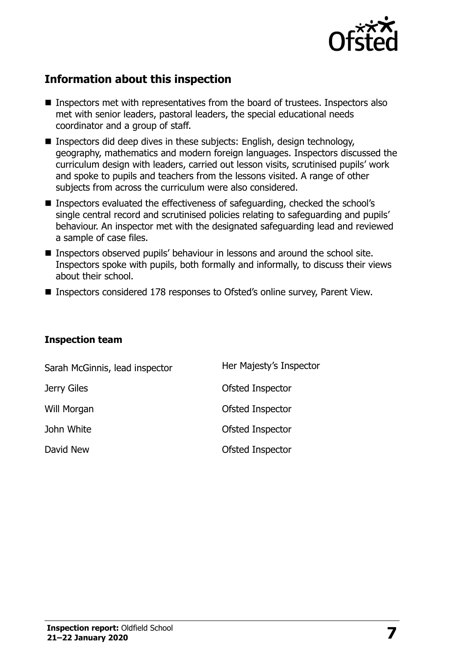

#### **Information about this inspection**

- Inspectors met with representatives from the board of trustees. Inspectors also met with senior leaders, pastoral leaders, the special educational needs coordinator and a group of staff.
- Inspectors did deep dives in these subjects: English, design technology, geography, mathematics and modern foreign languages. Inspectors discussed the curriculum design with leaders, carried out lesson visits, scrutinised pupils' work and spoke to pupils and teachers from the lessons visited. A range of other subjects from across the curriculum were also considered.
- Inspectors evaluated the effectiveness of safeguarding, checked the school's single central record and scrutinised policies relating to safeguarding and pupils' behaviour. An inspector met with the designated safeguarding lead and reviewed a sample of case files.
- Inspectors observed pupils' behaviour in lessons and around the school site. Inspectors spoke with pupils, both formally and informally, to discuss their views about their school.
- Inspectors considered 178 responses to Ofsted's online survey, Parent View.

#### **Inspection team**

| Sarah McGinnis, lead inspector | Her Majesty's Inspector |
|--------------------------------|-------------------------|
| Jerry Giles                    | Ofsted Inspector        |
| Will Morgan                    | Ofsted Inspector        |
| John White                     | Ofsted Inspector        |
| David New                      | Ofsted Inspector        |